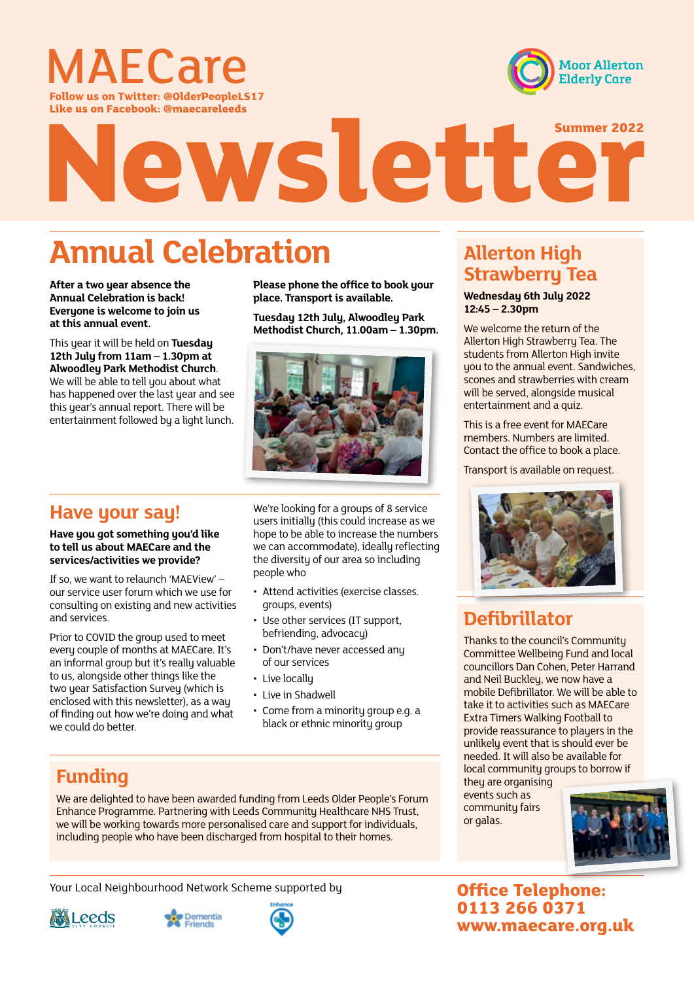

**Moor Allerton Elderly Care** 

**Follow us on Twitter: @OlderPeopleLS17 Like us on Facebook: @maecareleeds**

# Newsletter

# **Annual Celebration**

**After a two year absence the Annual Celebration is back! Everyone is welcome to join us at this annual event.** 

This year it will be held on **Tuesday 12th July from 11am – 1.30pm at Alwoodley Park Methodist Church**. We will be able to tell you about what has happened over the last year and see this year's annual report. There will be entertainment followed by a light lunch.

**Please phone the office to book your place. Transport is available.**

**Tuesday 12th July, Alwoodley Park Methodist Church, 11.00am – 1.30pm.**



## **Have your say!**

**Have you got something you'd like to tell us about MAECare and the services/activities we provide?**

If so, we want to relaunch 'MAEView' – our service user forum which we use for consulting on existing and new activities and services.

Prior to COVID the group used to meet every couple of months at MAECare. It's an informal group but it's really valuable to us, alongside other things like the two year Satisfaction Survey (which is enclosed with this newsletter), as a way of finding out how we're doing and what we could do better.

We're looking for a groups of 8 service users initially (this could increase as we hope to be able to increase the numbers we can accommodate), ideally reflecting the diversity of our area so including people who

- Attend activities (exercise classes. groups, events)
- Use other services (IT support, befriending, advocacy)
- Don't/have never accessed any of our services
- Live locally
- Live in Shadwell
- Come from a minority group e.g. a black or ethnic minority group

## **Funding**

We are delighted to have been awarded funding from Leeds Older People's Forum Enhance Programme. Partnering with Leeds Community Healthcare NHS Trust, we will be working towards more personalised care and support for individuals, including people who have been discharged from hospital to their homes.

Your Local Neighbourhood Network Scheme supported by







## **Allerton High Strawberry Tea**

#### **Wednesday 6th July 2022 12:45 – 2.30pm**

We welcome the return of the Allerton High Strawberry Tea. The students from Allerton High invite you to the annual event. Sandwiches, scones and strawberries with cream will be served, alongside musical entertainment and a quiz.

This is a free event for MAECare members. Numbers are limited. Contact the office to book a place.

Transport is available on request.



## **Defibrillator**

Thanks to the council's Community Committee Wellbeing Fund and local councillors Dan Cohen, Peter Harrand and Neil Buckley, we now have a mobile Defibrillator. We will be able to take it to activities such as MAECare Extra Timers Walking Football to provide reassurance to players in the unlikely event that is should ever be needed. It will also be available for local community groups to borrow if

they are organising events such as community fairs or galas.



**Office Telephone: 0113 266 0371 www.maecare.org.uk**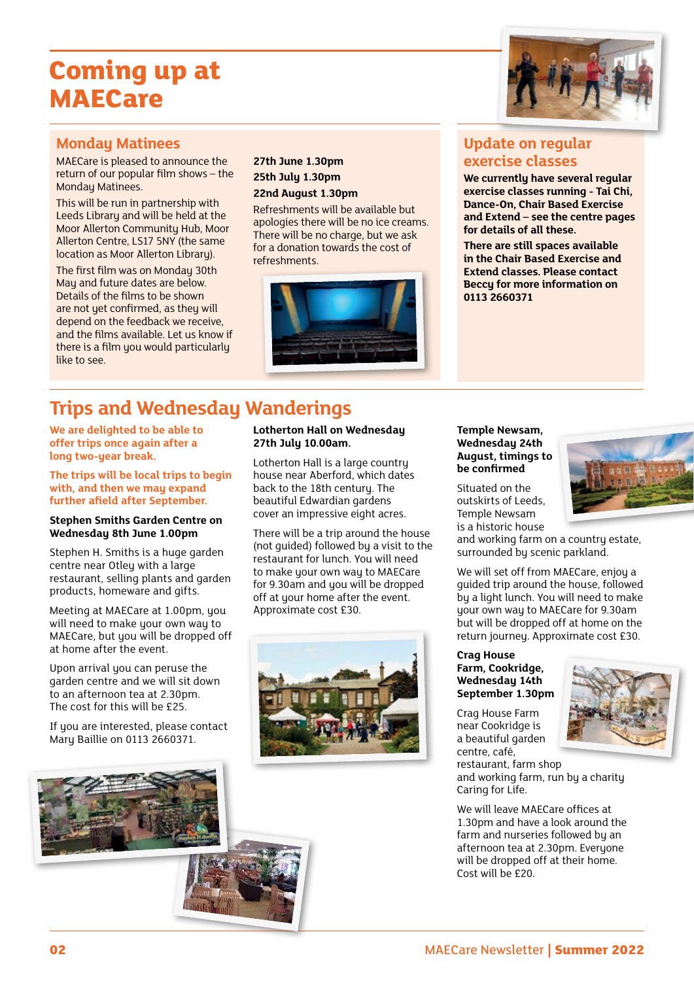# **Coming up at MAECare**

### **Monday Matinees**

MAECare is pleased to announce the return of our popular film shows – the Monday Matinees.

This will be run in partnership with Leeds Library and will be held at the Moor Allerton Community Hub, Moor Allerton Centre, LS17 5NY (the same location as Moor Allerton Library).

The first film was on Monday 30th May and future dates are below. Details of the films to be shown are not yet confirmed, as they will depend on the feedback we receive, and the films available. Let us know if there is a film you would particularly like to see.

#### **27th June 1.30pm 25th July 1.30pm 22nd August 1.30pm**

Refreshments will be available but apologies there will be no ice creams. There will be no charge, but we ask for a donation towards the cost of refreshments.



#### **Update on regular exercise classes**

**We currently have several regular exercise classes running - Tai Chi, Dance-On, Chair Based Exercise and Extend – see the centre pages for details of all these.** 

**There are still spaces available in the Chair Based Exercise and Extend classes. Please contact Beccy for more information on 0113 2660371**

## **Trips and Wednesday Wanderings**

**We are delighted to be able to offer trips once again after a long two-year break.**

**The trips will be local trips to begin with, and then we may expand further afield after September.**

#### **Stephen Smiths Garden Centre on Wednesday 8th June 1.00pm**

Stephen H. Smiths is a huge garden centre near Otley with a large restaurant, selling plants and garden products, homeware and gifts.

Meeting at MAECare at 1.00pm, you will need to make your own way to MAECare, but you will be dropped off at home after the event.

Upon arrival you can peruse the garden centre and we will sit down to an afternoon tea at 2.30pm. The cost for this will be £25.

If you are interested, please contact Mary Baillie on 0113 2660371.

#### **Lotherton Hall on Wednesday 27th July 10.00am.**

Lotherton Hall is a large country house near Aberford, which dates back to the 18th century. The beautiful Edwardian gardens cover an impressive eight acres.

There will be a trip around the house (not guided) followed by a visit to the restaurant for lunch. You will need to make your own way to MAECare for 9.30am and you will be dropped off at your home after the event. Approximate cost £30.



#### **Temple Newsam, Wednesday 24th August, timings to be confirmed**

Situated on the outskirts of Leeds, Temple Newsam is a historic house

and working farm on a country estate, surrounded by scenic parkland.

We will set off from MAECare, enjoy a guided trip around the house, followed by a light lunch. You will need to make your own way to MAECare for 9.30am but will be dropped off at home on the return journey. Approximate cost £30.

#### **Crag House Farm, Cookridge, Wednesday 14th September 1.30pm**

Crag House Farm near Cookridge is a beautiful garden centre, café, restaurant, farm shop

and working farm, run by a charity Caring for Life.

We will leave MAECare offices at 1.30pm and have a look around the farm and nurseries followed by an afternoon tea at 2.30pm. Everyone will be dropped off at their home. Cost will be £20.



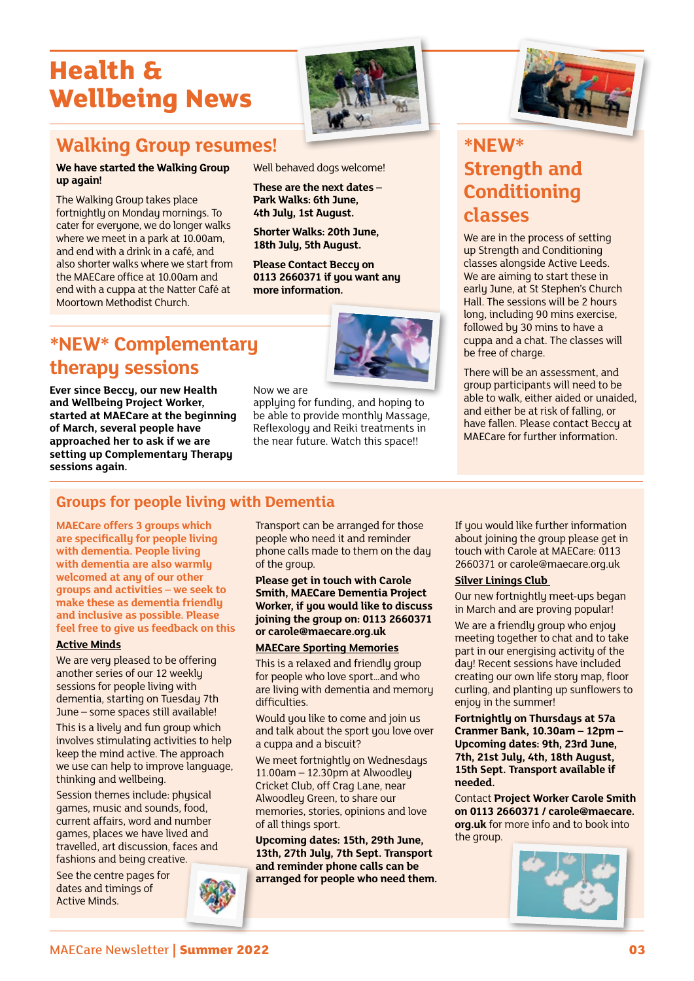# **Health & Wellbeing News**



## **Walking Group resumes!**

#### **We have started the Walking Group up again!**

The Walking Group takes place fortnightly on Monday mornings. To cater for everyone, we do longer walks where we meet in a park at 10.00am, and end with a drink in a café, and also shorter walks where we start from the MAECare office at 10.00am and end with a cuppa at the Natter Café at Moortown Methodist Church.



**These are the next dates – Park Walks: 6th June, 4th July, 1st August.** 

**Shorter Walks: 20th June, 18th July, 5th August.**

**Please Contact Beccy on 0113 2660371 if you want any more information.**

## **\*NEW\* Complementary therapy sessions**

**Ever since Beccy, our new Health and Wellbeing Project Worker, started at MAECare at the beginning of March, several people have approached her to ask if we are setting up Complementary Therapy sessions again.** 



Now we are

applying for funding, and hoping to be able to provide monthly Massage, Reflexology and Reiki treatments in the near future. Watch this space!!



## **\*NEW\* Strength and Conditioning classes**

We are in the process of setting up Strength and Conditioning classes alongside Active Leeds. We are aiming to start these in early June, at St Stephen's Church Hall. The sessions will be 2 hours long, including 90 mins exercise, followed by 30 mins to have a cuppa and a chat. The classes will be free of charge.

There will be an assessment, and group participants will need to be able to walk, either aided or unaided, and either be at risk of falling, or have fallen. Please contact Beccy at MAECare for further information.

## **Groups for people living with Dementia**

**MAECare offers 3 groups which are specifically for people living with dementia. People living with dementia are also warmly welcomed at any of our other groups and activities – we seek to make these as dementia friendly and inclusive as possible. Please feel free to give us feedback on this**

#### **Active Minds**

We are very pleased to be offering another series of our 12 weekly sessions for people living with dementia, starting on Tuesday 7th June – some spaces still available!

This is a lively and fun group which involves stimulating activities to help keep the mind active. The approach we use can help to improve language, thinking and wellbeing.

Session themes include: physical games, music and sounds, food, current affairs, word and number games, places we have lived and travelled, art discussion, faces and fashions and being creative.

See the centre pages for dates and timings of Active Minds.



Transport can be arranged for those people who need it and reminder phone calls made to them on the day of the group.

**Please get in touch with Carole Smith, MAECare Dementia Project Worker, if you would like to discuss joining the group on: 0113 2660371 or carole@maecare.org.uk**

#### **MAECare Sporting Memories**

This is a relaxed and friendlu group for people who love sport…and who are living with dementia and memory difficulties.

Would you like to come and join us and talk about the sport you love over a cuppa and a biscuit?

We meet fortnightly on Wednesdays 11.00am – 12.30pm at Alwoodley Cricket Club, off Crag Lane, near Alwoodley Green, to share our memories, stories, opinions and love of all things sport.

**Upcoming dates: 15th, 29th June, 13th, 27th July, 7th Sept. Transport and reminder phone calls can be arranged for people who need them.** If you would like further information about joining the group please get in touch with Carole at MAECare: 0113 2660371 or carole@maecare.org.uk

#### **Silver Linings Club**

Our new fortnightly meet-ups began in March and are proving popular!

We are a friendly group who enjoy meeting together to chat and to take part in our energising activity of the day! Recent sessions have included creating our own life story map, floor curling, and planting up sunflowers to enjoy in the summer!

**Fortnightly on Thursdays at 57a Cranmer Bank, 10.30am – 12pm – Upcoming dates: 9th, 23rd June, 7th, 21st July, 4th, 18th August, 15th Sept. Transport available if needed.**

Contact **Project Worker Carole Smith on 0113 2660371 / carole@maecare. org.uk** for more info and to book into the group.

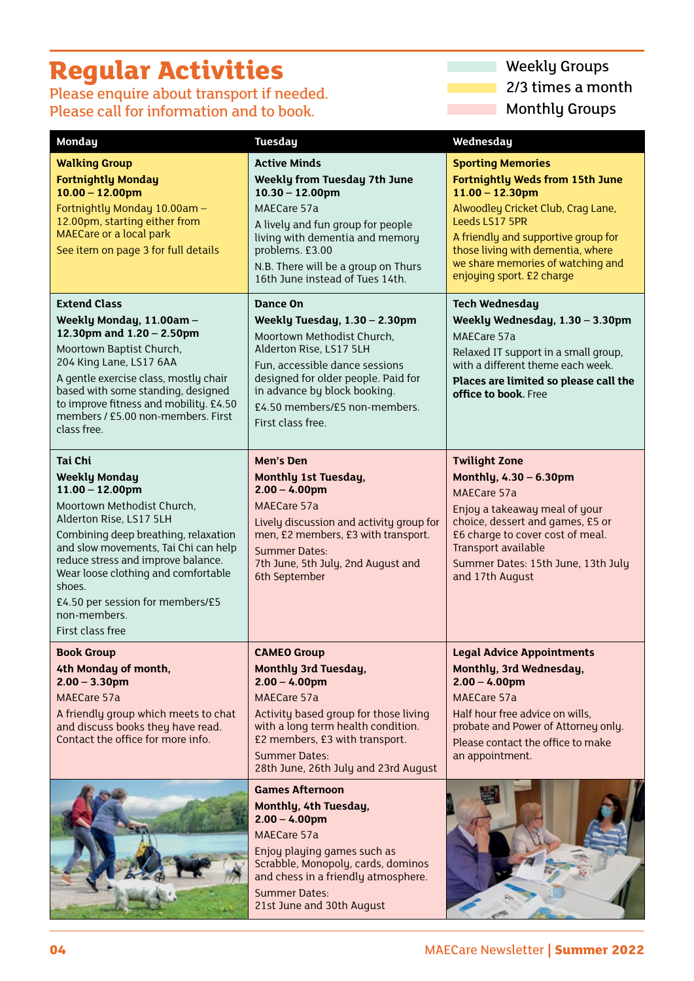# **Regular Activities**

Please enquire about transport if needed. Please call for information and to book.

Weekly Groups 2/3 times a month Monthly Groups  $\mathcal{L}^{\text{max}}_{\text{max}}$  and  $\mathcal{L}^{\text{max}}_{\text{max}}$ 

**Ta** 

| <b>Monday</b>                                                                                                                                                                                                                                                                                                                                                        | <b>Tuesday</b>                                                                                                                                                                                                                                                        | Wednesday                                                                                                                                                                                                                                                                                      |
|----------------------------------------------------------------------------------------------------------------------------------------------------------------------------------------------------------------------------------------------------------------------------------------------------------------------------------------------------------------------|-----------------------------------------------------------------------------------------------------------------------------------------------------------------------------------------------------------------------------------------------------------------------|------------------------------------------------------------------------------------------------------------------------------------------------------------------------------------------------------------------------------------------------------------------------------------------------|
| <b>Walking Group</b><br><b>Fortnightly Monday</b><br>$10.00 - 12.00$ pm<br>Fortnightly Monday 10.00am -<br>12.00pm, starting either from<br><b>MAECare or a local park</b><br>See item on page 3 for full details                                                                                                                                                    | <b>Active Minds</b><br><b>Weekly from Tuesday 7th June</b><br>$10.30 - 12.00$ pm<br>MAECare 57a<br>A lively and fun group for people<br>living with dementia and memory<br>problems. £3.00<br>N.B. There will be a group on Thurs<br>16th June instead of Tues 14th.  | <b>Sporting Memories</b><br><b>Fortnightly Weds from 15th June</b><br>$11.00 - 12.30$ pm<br>Alwoodley Cricket Club, Crag Lane,<br>Leeds LS17 5PR<br>A friendly and supportive group for<br>those living with dementia, where<br>we share memories of watching and<br>enjoying sport. £2 charge |
| <b>Extend Class</b><br>Weekly Monday, 11.00am -<br>12.30pm and 1.20 - 2.50pm<br>Moortown Baptist Church,<br>204 King Lane, LS17 6AA<br>A gentle exercise class, mostly chair<br>based with some standing, designed<br>to improve fitness and mobility. £4.50<br>members / £5.00 non-members. First<br>class free.                                                    | Dance On<br>Weekly Tuesday, 1.30 - 2.30pm<br>Moortown Methodist Church,<br>Alderton Rise, LS17 5LH<br>Fun, accessible dance sessions<br>designed for older people. Paid for<br>in advance by block booking.<br>£4.50 members/£5 non-members.<br>First class free.     | <b>Tech Wednesday</b><br>Weekly Wednesday, 1.30 - 3.30pm<br>MAECare 57a<br>Relaxed IT support in a small group,<br>with a different theme each week.<br>Places are limited so please call the<br>office to book. Free                                                                          |
| <b>Tai Chi</b><br><b>Weekly Monday</b><br>$11.00 - 12.00$ pm<br>Moortown Methodist Church,<br>Alderton Rise, LS17 5LH<br>Combining deep breathing, relaxation<br>and slow movements, Tai Chi can help<br>reduce stress and improve balance.<br>Wear loose clothing and comfortable<br>shoes.<br>£4.50 per session for members/£5<br>non-members.<br>First class free | Men's Den<br><b>Monthly 1st Tuesday,</b><br>$2.00 - 4.00$ pm<br>MAECare 57a<br>Lively discussion and activity group for<br>men, £2 members, £3 with transport.<br><b>Summer Dates:</b><br>7th June, 5th July, 2nd August and<br>6th September                         | <b>Twilight Zone</b><br>Monthly, 4.30 - 6.30pm<br>MAECare 57a<br>Enjoy a takeaway meal of your<br>choice, dessert and games, £5 or<br>£6 charge to cover cost of meal.<br>Transport available<br>Summer Dates: 15th June, 13th July<br>and 17th August                                         |
| <b>Book Group</b><br>4th Monday of month,<br>$2.00 - 3.30$ pm<br>MAECare 57a<br>A friendly group which meets to chat<br>and discuss books they have read.<br>Contact the office for more info.                                                                                                                                                                       | <b>CAMEO Group</b><br><b>Monthly 3rd Tuesday,</b><br>$2.00 - 4.00$ pm<br>MAECare 57a<br>Activity based group for those living<br>with a long term health condition.<br>£2 members, £3 with transport.<br><b>Summer Dates:</b><br>28th June, 26th July and 23rd August | <b>Legal Advice Appointments</b><br>Monthly, 3rd Wednesday,<br>$2.00 - 4.00$ pm<br>MAECare 57a<br>Half hour free advice on wills,<br>probate and Power of Attorney only.<br>Please contact the office to make<br>an appointment.                                                               |
|                                                                                                                                                                                                                                                                                                                                                                      | <b>Games Afternoon</b><br>Monthly, 4th Tuesday,<br>$2.00 - 4.00$ pm<br>MAECare 57a<br>Enjoy playing games such as<br>Scrabble, Monopoly, cards, dominos<br>and chess in a friendly atmosphere.<br><b>Summer Dates:</b><br>21st June and 30th August                   |                                                                                                                                                                                                                                                                                                |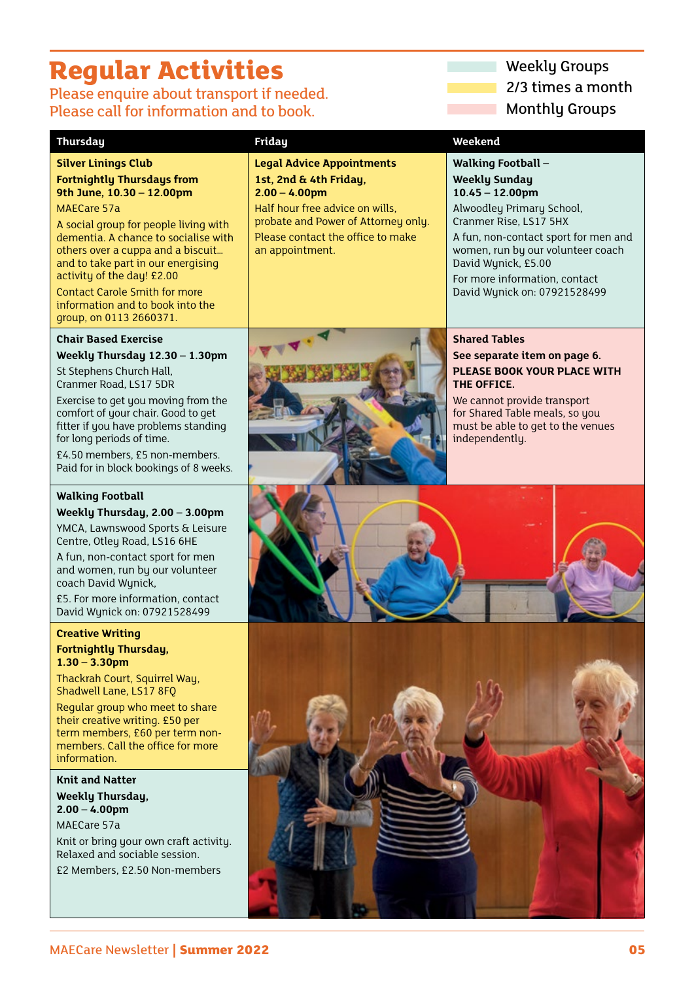# **Regular Activities** Weekly Groups

Please enquire about transport if needed. Please call for information and to book.

#### **Thursday Friday Weekend**

#### **Silver Linings Club Fortnightly Thursdays from 9th June, 10.30 – 12.00pm**

MAECare 57a

A social group for people living with dementia. A chance to socialise with others over a cuppa and a biscuit… and to take part in our energising activity of the day! £2.00

Contact Carole Smith for more information and to book into the group, on 0113 2660371.

## **Chair Based Exercise**

**Weekly Thursday 12.30 – 1.30pm**

St Stephens Church Hall, Cranmer Road, LS17 5DR

Exercise to get you moving from the comfort of your chair. Good to get fitter if you have problems standing for long periods of time.

£4.50 members, £5 non-members. Paid for in block bookings of 8 weeks.

#### **Walking Football**

**Weekly Thursday, 2.00 – 3.00pm** 

YMCA, Lawnswood Sports & Leisure Centre, Otley Road, LS16 6HE

A fun, non-contact sport for men and women, run by our volunteer coach David Wynick,

£5. For more information, contact David Wynick on: 07921528499

#### **Creative Writing Fortnightly Thursday, 1.30 – 3.30pm**

Thackrah Court, Squirrel Way, Shadwell Lane, LS17 8FQ

Regular group who meet to share their creative writing. £50 per term members, £60 per term nonmembers. Call the office for more information.

**Knit and Natter Weekly Thursday, 2.00 – 4.00pm** MAECare 57a

Knit or bring your own craft activity. Relaxed and sociable session.

£2 Members, £2.50 Non-members

**Legal Advice Appointments 1st, 2nd & 4th Friday, 2.00 – 4.00pm**

Half hour free advice on wills, probate and Power of Attorney only. Please contact the office to make an appointment.

# 2/3 times a month **Monthly Groups**

**Walking Football – Weekly Sunday 10.45 – 12.00pm** Alwoodley Primary School, Cranmer Rise, LS17 5HX

A fun, non-contact sport for men and women, run by our volunteer coach David Wynick, £5.00 For more information, contact

David Wynick on: 07921528499



**Shared Tables See separate item on page 6. PLEASE BOOK YOUR PLACE WITH THE OFFICE.** 

We cannot provide transport for Shared Table meals, so you must be able to get to the venues independently.

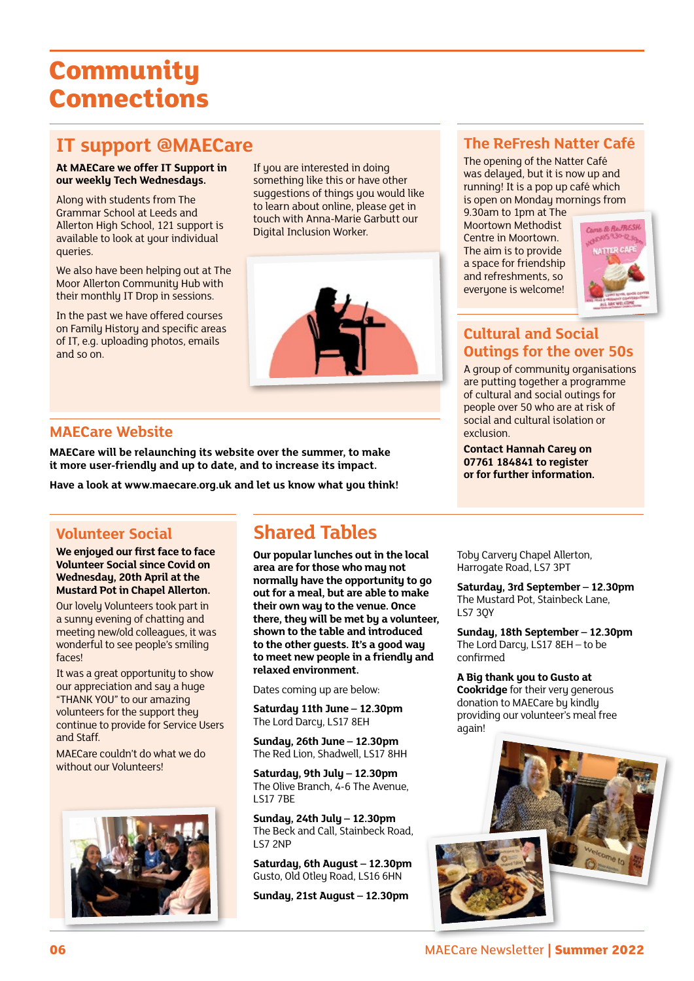# **Community Connections**

## **IT support @MAECare**

#### **At MAECare we offer IT Support in our weekly Tech Wednesdays.**

Along with students from The Grammar School at Leeds and Allerton High School, 121 support is available to look at your individual queries.

We also have been helping out at The Moor Allerton Community Hub with their monthly IT Drop in sessions.

In the past we have offered courses on Family History and specific areas of IT, e.g. uploading photos, emails and so on.

If you are interested in doing something like this or have other suggestions of things you would like to learn about online, please get in touch with Anna-Marie Garbutt our Digital Inclusion Worker.



#### **MAECare Website**

**MAECare will be relaunching its website over the summer, to make it more user-friendly and up to date, and to increase its impact.**

Have a look at www.maecare.org.uk and let us know what you think!

#### **Volunteer Social**

**We enjoyed our first face to face Volunteer Social since Covid on Wednesday, 20th April at the Mustard Pot in Chapel Allerton.**

Our lovely Volunteers took part in a sunny evening of chatting and meeting new/old colleagues, it was wonderful to see people's smiling faces!

It was a great opportunity to show our appreciation and say a huge "THANK YOU" to our amazing volunteers for the support they continue to provide for Service Users and Staff.

MAECare couldn't do what we do without our Volunteers!



## **Shared Tables**

**Our popular lunches out in the local area are for those who may not normally have the opportunity to go out for a meal, but are able to make their own way to the venue. Once there, they will be met by a volunteer, shown to the table and introduced to the other guests. It's a good way to meet new people in a friendly and relaxed environment.** 

Dates coming up are below:

**Saturday 11th June – 12.30pm** The Lord Darcy, LS17 8EH

**Sunday, 26th June – 12.30pm** The Red Lion, Shadwell, LS17 8HH

**Saturday, 9th July – 12.30pm** The Olive Branch, 4-6 The Avenue, LS17 7BE

**Sunday, 24th July – 12.30pm** The Beck and Call, Stainbeck Road, LS7 2NP

**Saturday, 6th August – 12.30pm** Gusto, Old Otley Road, LS16 6HN

**Sunday, 21st August – 12.30pm**

## **The ReFresh Natter Café**

The opening of the Natter Café was delayed, but it is now up and running! It is a pop up café which is open on Monday mornings from

9.30am to 1pm at The Moortown Methodist Centre in Moortown. The aim is to provide a space for friendship and refreshments, so everyone is welcome!



## **Cultural and Social Outings for the over 50s**

A group of community organisations are putting together a programme of cultural and social outings for people over 50 who are at risk of social and cultural isolation or exclusion.

**Contact Hannah Carey on 07761 184841 to register or for further information.**

Toby Carvery Chapel Allerton, Harrogate Road, LS7 3PT

**Saturday, 3rd September – 12.30pm** The Mustard Pot, Stainbeck Lane, LS7 3QY

**Sunday, 18th September – 12.30pm** The Lord Darcy, LS17 8EH – to be confirmed

**A Big thank you to Gusto at Cookridge** for their very generous donation to MAECare by kindly providing our volunteer's meal free again!

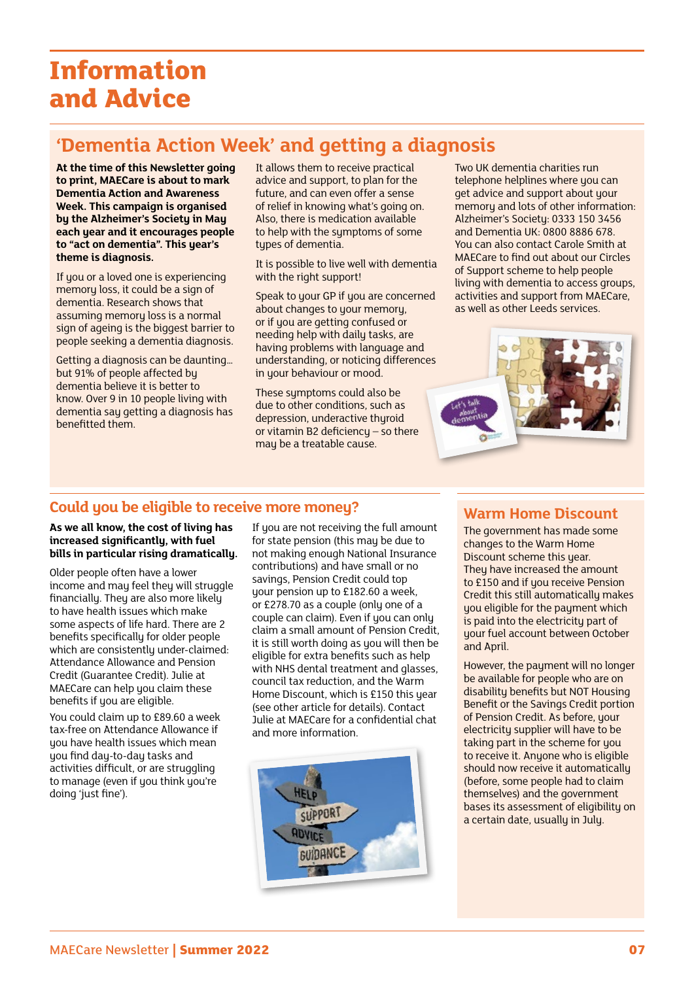# **Information and Advice**

## **'Dementia Action Week' and getting a diagnosis**

**At the time of this Newsletter going to print, MAECare is about to mark Dementia Action and Awareness Week. This campaign is organised by the Alzheimer's Society in May each year and it encourages people to "act on dementia". This year's theme is diagnosis.**

If you or a loved one is experiencing memory loss, it could be a sign of dementia. Research shows that assuming memory loss is a normal sign of ageing is the biggest barrier to people seeking a dementia diagnosis.

Getting a diagnosis can be daunting… but 91% of people affected by dementia believe it is better to know. Over 9 in 10 people living with dementia say getting a diagnosis has benefitted them.

It allows them to receive practical advice and support, to plan for the future, and can even offer a sense of relief in knowing what's going on. Also, there is medication available to help with the symptoms of some tupes of dementia.

It is possible to live well with dementia with the right support!

Speak to your GP if you are concerned about changes to your memory, or if you are getting confused or needing help with daily tasks, are having problems with language and understanding, or noticing differences in your behaviour or mood.

These sumptoms could also be due to other conditions, such as depression, underactive thyroid or vitamin B2 deficiency – so there may be a treatable cause.

Two UK dementia charities run telephone helplines where you can get advice and support about your memoru and lots of other information: Alzheimer's Society: 0333 150 3456 and Dementia UK: 0800 8886 678. You can also contact Carole Smith at MAECare to find out about our Circles of Support scheme to help people living with dementia to access groups, activities and support from MAECare, as well as other Leeds services.



## **Could you be eligible to receive more money?**

**As we all know, the cost of living has increased significantly, with fuel bills in particular rising dramatically.** 

Older people often have a lower income and may feel they will struggle financiallu. They are also more likely to have health issues which make some aspects of life hard. There are 2 benefits specifically for older people which are consistently under-claimed: Attendance Allowance and Pension Credit (Guarantee Credit). Julie at MAECare can help you claim these benefits if you are eligible.

You could claim up to £89.60 a week tax-free on Attendance Allowance if you have health issues which mean you find day-to-day tasks and activities difficult, or are struggling to manage (even if you think you're doing 'just fine').

If you are not receiving the full amount for state pension (this may be due to not making enough National Insurance contributions) and have small or no savings, Pension Credit could top your pension up to £182.60 a week, or £278.70 as a couple (only one of a couple can claim). Even if you can only claim a small amount of Pension Credit, it is still worth doing as you will then be eligible for extra benefits such as help with NHS dental treatment and glasses, council tax reduction, and the Warm Home Discount, which is £150 this year (see other article for details). Contact Julie at MAECare for a confidential chat and more information.



#### **Warm Home Discount**

The government has made some changes to the Warm Home Discount scheme this year. They have increased the amount to £150 and if you receive Pension Credit this still automatically makes you eligible for the payment which is paid into the electricity part of your fuel account between October and April.

However, the payment will no longer be available for people who are on disability benefits but NOT Housing Benefit or the Savings Credit portion of Pension Credit. As before, your electricity supplier will have to be taking part in the scheme for you to receive it. Anyone who is eligible should now receive it automatically (before, some people had to claim themselves) and the government bases its assessment of eligibility on a certain date, usually in July.